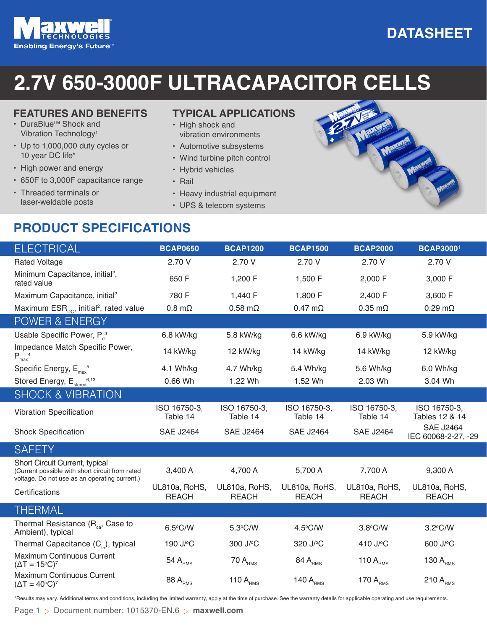# **Enabling Energy's Future<sup>™</sup>**

## **2.7V 650-3000F ULTRACAPACITOR CELLS**

#### **FEATURES AND BENEFITS**

- DuraBlueTM Shock and Vibration Technology1
- Up to 1,000,000 duty cycles or 10 year DC life\*
- High power and energy
- 650F to 3,000F capacitance range
- Threaded terminals or laser-weldable posts

#### **TYPICAL APPLICATIONS**

- High shock and vibration environments
- Automotive subsystems
- Wind turbine pitch control
- Hybrid vehicles
- Rail
- Heavy industrial equipment
- UPS & telecom systems

## **PRODUCT SPECIFICATIONS**



| ELECTRICAL                                                                                                                         | <b>BCAP0650</b>                    | <b>BCAP1200</b>                    | <b>BCAP1500</b>                    | <b>BCAP2000</b>               | <b>BCAP30001</b>                        |
|------------------------------------------------------------------------------------------------------------------------------------|------------------------------------|------------------------------------|------------------------------------|-------------------------------|-----------------------------------------|
| <b>Rated Voltage</b>                                                                                                               | 2.70 V                             | 2.70 V                             | 2.70 V                             | 2.70 V                        | 2.70 V                                  |
| Minimum Capacitance, initial <sup>2</sup> ,<br>rated value                                                                         | 650 F                              | 1,200 F                            | 1,500 F                            | 2,000 F                       | 3,000 F                                 |
| Maximum Capacitance, initial <sup>2</sup>                                                                                          | 780 F                              | 1,440 F                            | 1,800 F                            | 2,400 F                       | 3,600 F                                 |
| Maximum $ESR_{\text{nc}}$ , initial <sup>2</sup> , rated value                                                                     | $0.8 \text{ m}\Omega$              | $0.58$ m $\Omega$                  | $0.47 \text{ m}\Omega$             | $0.35$ m $\Omega$             | $0.29$ m $\Omega$                       |
| POWER & ENERGY                                                                                                                     |                                    |                                    |                                    |                               |                                         |
| Usable Specific Power, P <sub>a</sub> <sup>3</sup>                                                                                 | 6.8 kW/kg                          | 5.8 kW/kg                          | 6.6 kW/kg                          | 6.9 kW/kg                     | 5.9 kW/kg                               |
| Impedance Match Specific Power,<br>$P_{max}$ <sup>4</sup>                                                                          | 14 kW/kg                           | 12 kW/kg                           | 14 kW/kg                           | 14 kW/kg                      | 12 kW/kg                                |
| Specific Energy, $E_{\text{max}}^5$                                                                                                | 4.1 Wh/kg                          | 4.7 Wh/kg                          | 5.4 Wh/kg                          | 5.6 Wh/kg                     | 6.0 Wh/kg                               |
| Stored Energy, E <sub>stored</sub> <sup>6,13</sup>                                                                                 | 0.66 Wh                            | 1.22 Wh                            | 1.52 Wh                            | 2.03 Wh                       | 3.04 Wh                                 |
| <b>SHOCK &amp; VIBRATION</b>                                                                                                       |                                    |                                    |                                    |                               |                                         |
| <b>Vibration Specification</b>                                                                                                     | ISO 16750-3,<br>Table 14           | ISO 16750-3,<br>Table 14           | ISO 16750-3,<br>Table 14           | ISO 16750-3,<br>Table 14      | ISO 16750-3,<br>Tables 12 & 14          |
| <b>Shock Specification</b>                                                                                                         | <b>SAE J2464</b>                   | <b>SAE J2464</b>                   | <b>SAE J2464</b>                   | <b>SAE J2464</b>              | <b>SAE J2464</b><br>IEC 60068-2-27, -29 |
| <b>SAFETY</b>                                                                                                                      |                                    |                                    |                                    |                               |                                         |
| Short Circuit Current, typical<br>(Current possible with short circuit from rated<br>voltage. Do not use as an operating current.) | 3,400 A                            | 4,700 A                            | 5,700 A                            | 7,700 A                       | 9,300 A                                 |
| Certifications                                                                                                                     | UL810a, RoHS,<br><b>REACH</b>      | UL810a, RoHS,<br><b>REACH</b>      | UL810a, RoHS,<br><b>REACH</b>      | UL810a, RoHS,<br><b>REACH</b> | UL810a, RoHS,<br><b>REACH</b>           |
| THERMAL                                                                                                                            |                                    |                                    |                                    |                               |                                         |
| Thermal Resistance (R <sub>ca</sub> , Case to<br>Ambient), typical                                                                 | 6.5°C/W                            | 5.3°C/W                            | $4.5^{\circ}$ C/W                  | 3.8°C/W                       | 3.2°C/W                                 |
| Thermal Capacitance $(C_{th})$ , typical                                                                                           | 190 J/ <sup>o</sup> C              | 300 J/°C                           | 320 J/°C                           | 410 J/°C                      | 600 J/°C                                |
| Maximum Continuous Current<br>$(\Delta T = 15^{\circ}C)^{7}$                                                                       | 54 $\mathsf{A}_{\text{\tiny RMS}}$ | 70 $\mathsf{A}_{\text{\tiny RMS}}$ | 84 $\mathsf{A}_{\text{\tiny RMS}}$ | 110 $ARMS$                    | 130 $A_{\rm RMS}$                       |
| Maximum Continuous Current<br>$(\Delta T = 40^{\circ}C)^{7}$                                                                       | 88 $\mathsf{A}_{\text{\tiny RMS}}$ | 110 $ARMS$                         | 140 $ARMS$                         | 170 $ARMS$                    | 210 $ARMS$                              |

\*Results may vary. Additional terms and conditions, including the limited warranty, apply at the time of purchase. See the warranty details for applicable operating and use requirements.

## **DATASHEET**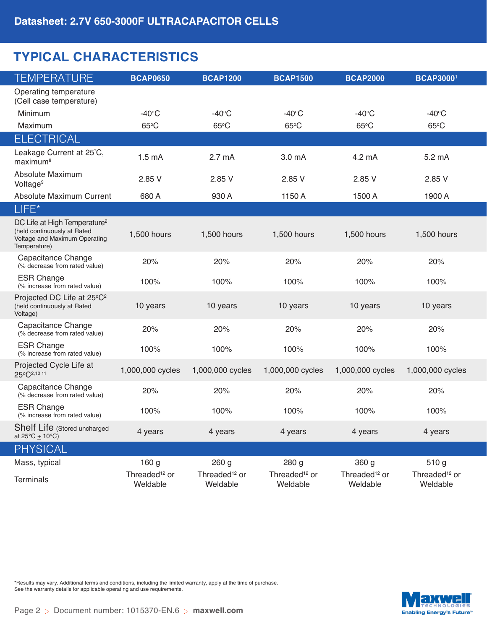## **TYPICAL CHARACTERISTICS**

| <b>TEMPERATURE</b>                                                                                                       | <b>BCAP0650</b>                       | <b>BCAP1200</b>                       | <b>BCAP1500</b>                       | <b>BCAP2000</b>                       | <b>BCAP30001</b>                      |
|--------------------------------------------------------------------------------------------------------------------------|---------------------------------------|---------------------------------------|---------------------------------------|---------------------------------------|---------------------------------------|
| Operating temperature<br>(Cell case temperature)                                                                         |                                       |                                       |                                       |                                       |                                       |
| Minimum                                                                                                                  | $-40^{\circ}$ C                       | $-40$ °C                              | $-40^\circ C$                         | $-40$ °C                              | $-40$ °C                              |
| Maximum                                                                                                                  | $65^{\circ}$ C                        | 65°C                                  | 65°C                                  | $65^{\circ}$ C                        | 65°C                                  |
| <b>ELECTRICAL</b>                                                                                                        |                                       |                                       |                                       |                                       |                                       |
| Leakage Current at 25°C,<br>maximum <sup>8</sup>                                                                         | 1.5 <sub>m</sub> A                    | 2.7 <sub>mA</sub>                     | 3.0 mA                                | 4.2 mA                                | 5.2 mA                                |
| Absolute Maximum<br>Voltage <sup>9</sup>                                                                                 | 2.85 V                                | 2.85 V                                | 2.85 V                                | 2.85 V                                | 2.85 V                                |
| Absolute Maximum Current                                                                                                 | 680 A                                 | 930 A                                 | 1150 A                                | 1500 A                                | 1900 A                                |
| LIFE*                                                                                                                    |                                       |                                       |                                       |                                       |                                       |
| DC Life at High Temperature <sup>2</sup><br>(held continuously at Rated<br>Voltage and Maximum Operating<br>Temperature) | 1,500 hours                           | 1,500 hours                           | 1,500 hours                           | 1,500 hours                           | 1,500 hours                           |
| Capacitance Change<br>(% decrease from rated value)                                                                      | 20%                                   | 20%                                   | 20%                                   | 20%                                   | 20%                                   |
| <b>ESR Change</b><br>(% increase from rated value)                                                                       | 100%                                  | 100%                                  | 100%                                  | 100%                                  | 100%                                  |
| Projected DC Life at 25°C <sup>2</sup><br>(held continuously at Rated<br>Voltage)                                        | 10 years                              | 10 years                              | 10 years                              | 10 years                              | 10 years                              |
| Capacitance Change<br>(% decrease from rated value)                                                                      | 20%                                   | 20%                                   | 20%                                   | 20%                                   | 20%                                   |
| <b>ESR Change</b><br>(% increase from rated value)                                                                       | 100%                                  | 100%                                  | 100%                                  | 100%                                  | 100%                                  |
| Projected Cycle Life at<br>25°C <sup>2,10</sup> 11                                                                       | 1,000,000 cycles                      | 1,000,000 cycles                      | 1,000,000 cycles                      | 1,000,000 cycles                      | 1,000,000 cycles                      |
| Capacitance Change<br>(% decrease from rated value)                                                                      | 20%                                   | 20%                                   | 20%                                   | 20%                                   | 20%                                   |
| <b>ESR Change</b><br>(% increase from rated value)                                                                       | 100%                                  | 100%                                  | 100%                                  | 100%                                  | 100%                                  |
| Shelf Life (Stored uncharged<br>at $25^{\circ}$ C $\pm$ 10°C)                                                            | 4 years                               | 4 years                               | 4 years                               | 4 years                               | 4 years                               |
| <b>PHYSICAL</b>                                                                                                          |                                       |                                       |                                       |                                       |                                       |
| Mass, typical                                                                                                            | 160 g                                 | 260 g                                 | 280 g                                 | 360 g                                 | 510 g                                 |
| <b>Terminals</b>                                                                                                         | Threaded <sup>12</sup> or<br>Weldable | Threaded <sup>12</sup> or<br>Weldable | Threaded <sup>12</sup> or<br>Weldable | Threaded <sup>12</sup> or<br>Weldable | Threaded <sup>12</sup> or<br>Weldable |

\*Results may vary. Additional terms and conditions, including the limited warranty, apply at the time of purchase. See the warranty details for applicable operating and use requirements.

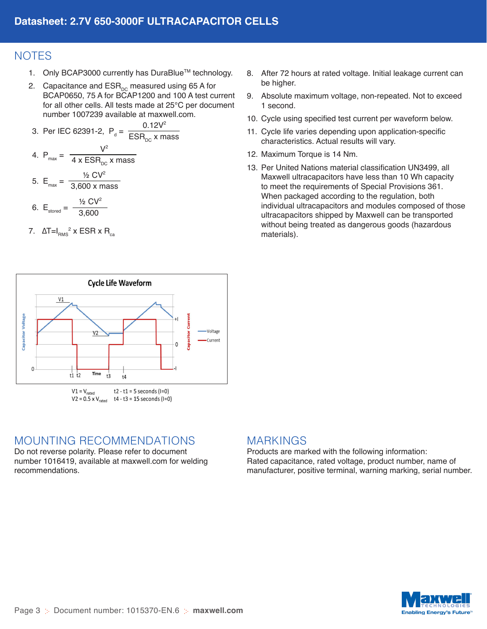## **NOTES**

- 1. Only BCAP3000 currently has DuraBlue™ technology.
- 2. Capacitance and  $ESR_{DC}$  measured using 65 A for BCAP0650, 75 A for BCAP1200 and 100 A test current for all other cells. All tests made at 25°C per document number 1007239 available at maxwell.com.

3. Per IEC 62391-2, 
$$
P_d = \frac{0.12V^2}{ESR_{DC} \times mass}
$$
  
4.  $P_{max} = \frac{V^2}{4 \times ESR_{DC} \times mass}$ 

5. 
$$
E_{\text{max}} = \frac{\frac{1}{2} \text{CV}^2}{3,600 \text{ x mass}}
$$

6. 
$$
E_{\text{stored}} = \frac{\frac{1}{2} \text{CV}^2}{3,600}
$$

7.  $\left.\Delta$ T=I $_{\rm RMS}$ <sup>2</sup> x ESR x R $_{\rm ca}$ 

- 8. After 72 hours at rated voltage. Initial leakage current can be higher.
- 9. Absolute maximum voltage, non-repeated. Not to exceed 1 second.
- 10. Cycle using specified test current per waveform below.
- 11. Cycle life varies depending upon application-specific characteristics. Actual results will vary.
- 12. Maximum Torque is 14 Nm.
- 13. Per United Nations material classification UN3499, all Maxwell ultracapacitors have less than 10 Wh capacity to meet the requirements of Special Provisions 361. When packaged according to the regulation, both individual ultracapacitors and modules composed of those ultracapacitors shipped by Maxwell can be transported without being treated as dangerous goods (hazardous materials).



## MOUNTING RECOMMENDATIONS

Do not reverse polarity. Please refer to document number 1016419, available at maxwell.com for welding recommendations.

### MARKINGS

Products are marked with the following information: Rated capacitance, rated voltage, product number, name of manufacturer, positive terminal, warning marking, serial number.